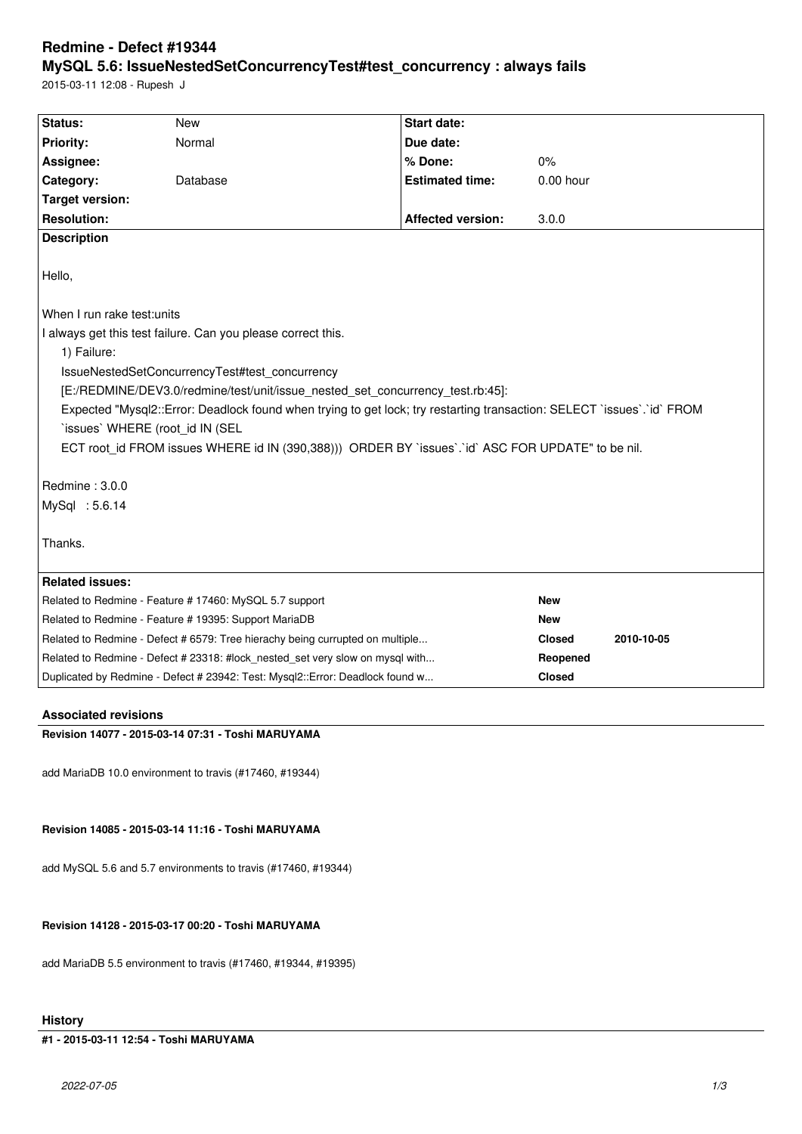# **Redmine - Defect #19344**

## **MySQL 5.6: IssueNestedSetConcurrencyTest#test\_concurrency : always fails**

2015-03-11 12:08 - Rupesh J

| Status:                                                                                                                | <b>New</b> | <b>Start date:</b>       |               |            |
|------------------------------------------------------------------------------------------------------------------------|------------|--------------------------|---------------|------------|
| <b>Priority:</b>                                                                                                       | Normal     | Due date:                |               |            |
| Assignee:                                                                                                              |            | % Done:                  | 0%            |            |
| Category:                                                                                                              | Database   | <b>Estimated time:</b>   | $0.00$ hour   |            |
| <b>Target version:</b>                                                                                                 |            |                          |               |            |
| <b>Resolution:</b>                                                                                                     |            | <b>Affected version:</b> | 3.0.0         |            |
| <b>Description</b>                                                                                                     |            |                          |               |            |
| Hello,                                                                                                                 |            |                          |               |            |
| When I run rake test: units                                                                                            |            |                          |               |            |
| I always get this test failure. Can you please correct this.                                                           |            |                          |               |            |
| 1) Failure:                                                                                                            |            |                          |               |            |
| IssueNestedSetConcurrencyTest#test concurrency                                                                         |            |                          |               |            |
| [E:/REDMINE/DEV3.0/redmine/test/unit/issue_nested_set_concurrency_test.rb:45]:                                         |            |                          |               |            |
| Expected "Mysql2::Error: Deadlock found when trying to get lock; try restarting transaction: SELECT `issues`.`id` FROM |            |                          |               |            |
| 'issues' WHERE (root id IN (SEL                                                                                        |            |                          |               |            |
| ECT root id FROM issues WHERE id IN (390,388))) ORDER BY `issues`.`id` ASC FOR UPDATE" to be nil.                      |            |                          |               |            |
|                                                                                                                        |            |                          |               |            |
| Redmine: 3.0.0                                                                                                         |            |                          |               |            |
| MySql : 5.6.14                                                                                                         |            |                          |               |            |
|                                                                                                                        |            |                          |               |            |
| Thanks.                                                                                                                |            |                          |               |            |
|                                                                                                                        |            |                          |               |            |
| <b>Related issues:</b>                                                                                                 |            |                          |               |            |
| Related to Redmine - Feature # 17460: MySQL 5.7 support                                                                |            |                          | <b>New</b>    |            |
| Related to Redmine - Feature # 19395: Support MariaDB                                                                  |            | <b>New</b>               |               |            |
| Related to Redmine - Defect # 6579: Tree hierachy being currupted on multiple                                          |            |                          | <b>Closed</b> | 2010-10-05 |
| Related to Redmine - Defect # 23318: #lock_nested_set very slow on mysql with                                          |            |                          | Reopened      |            |
| Duplicated by Redmine - Defect # 23942: Test: Mysql2::Error: Deadlock found w                                          |            | <b>Closed</b>            |               |            |
|                                                                                                                        |            |                          |               |            |

## **Associated revisions**

**Revision 14077 - 2015-03-14 07:31 - Toshi MARUYAMA**

add MariaDB 10.0 environment to travis (#17460, #19344)

#### **Revision 14085 - 2015-03-14 11:16 - Toshi MARUYAMA**

add MySQL 5.6 and 5.7 environments to travis (#17460, #19344)

## **Revision 14128 - 2015-03-17 00:20 - Toshi MARUYAMA**

add MariaDB 5.5 environment to travis (#17460, #19344, #19395)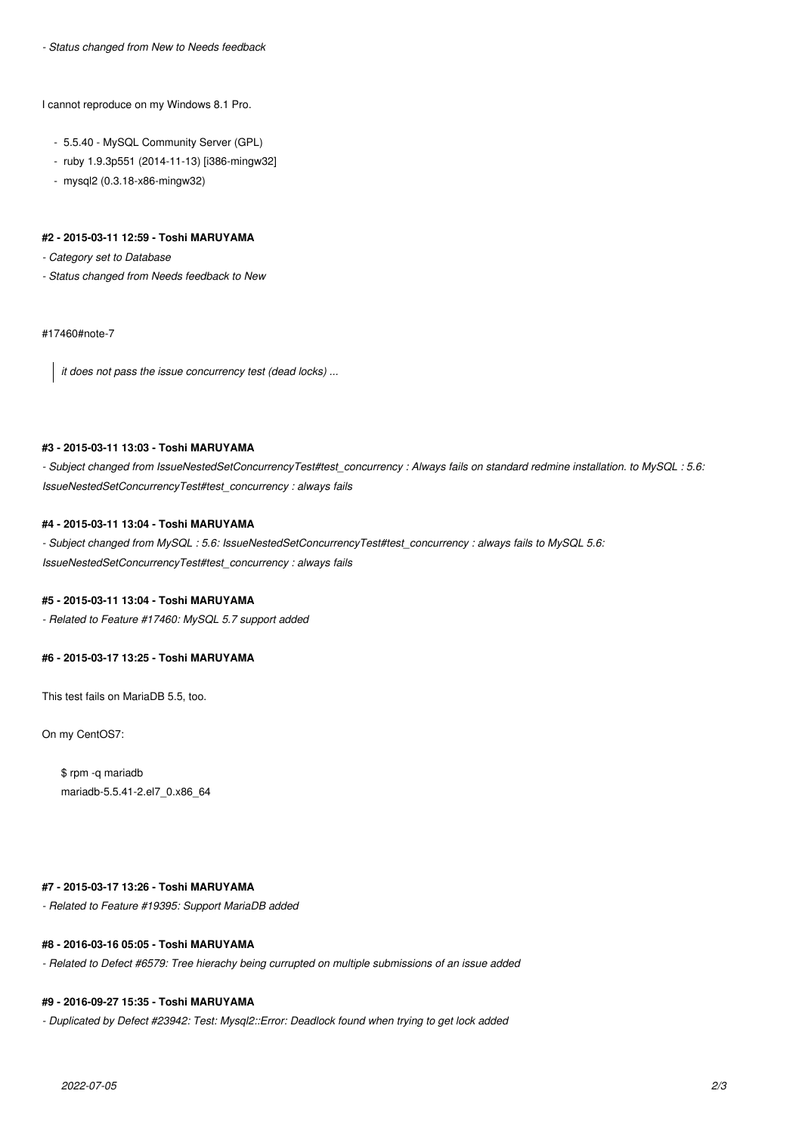*- Status changed from New to Needs feedback*

I cannot reproduce on my Windows 8.1 Pro.

- 5.5.40 MySQL Community Server (GPL)
- ruby 1.9.3p551 (2014-11-13) [i386-mingw32]
- mysql2 (0.3.18-x86-mingw32)

#### **#2 - 2015-03-11 12:59 - Toshi MARUYAMA**

*- Category set to Database*

*- Status changed from Needs feedback to New*

#17460#note-7

*it does not pass the issue concurrency test (dead locks) ...*

#### **#3 - 2015-03-11 13:03 - Toshi MARUYAMA**

*- Subject changed from IssueNestedSetConcurrencyTest#test\_concurrency : Always fails on standard redmine installation. to MySQL : 5.6: IssueNestedSetConcurrencyTest#test\_concurrency : always fails*

## **#4 - 2015-03-11 13:04 - Toshi MARUYAMA**

*- Subject changed from MySQL : 5.6: IssueNestedSetConcurrencyTest#test\_concurrency : always fails to MySQL 5.6: IssueNestedSetConcurrencyTest#test\_concurrency : always fails*

#### **#5 - 2015-03-11 13:04 - Toshi MARUYAMA**

*- Related to Feature #17460: MySQL 5.7 support added*

#### **#6 - 2015-03-17 13:25 - Toshi MARUYAMA**

This test fails on MariaDB 5.5, too.

On my CentOS7:

\$ rpm -q mariadb mariadb-5.5.41-2.el7\_0.x86\_64

### **#7 - 2015-03-17 13:26 - Toshi MARUYAMA**

*- Related to Feature #19395: Support MariaDB added*

#### **#8 - 2016-03-16 05:05 - Toshi MARUYAMA**

*- Related to Defect #6579: Tree hierachy being currupted on multiple submissions of an issue added*

#### **#9 - 2016-09-27 15:35 - Toshi MARUYAMA**

*- Duplicated by Defect #23942: Test: Mysql2::Error: Deadlock found when trying to get lock added*